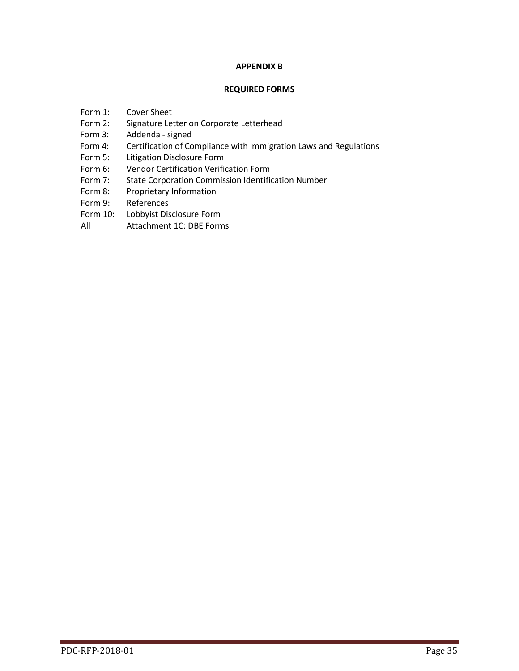# **APPENDIX B**

## **REQUIRED FORMS**

- Form 1: Cover Sheet
- Form 2: Signature Letter on Corporate Letterhead
- Form 3: Addenda signed
- Form 4: Certification of Compliance with Immigration Laws and Regulations
- Form 5: Litigation Disclosure Form
- Form 6: Vendor Certification Verification Form
- Form 7: State Corporation Commission Identification Number
- Form 8: Proprietary Information
- Form 9: References
- Form 10: Lobbyist Disclosure Form
- All Attachment 1C: DBE Forms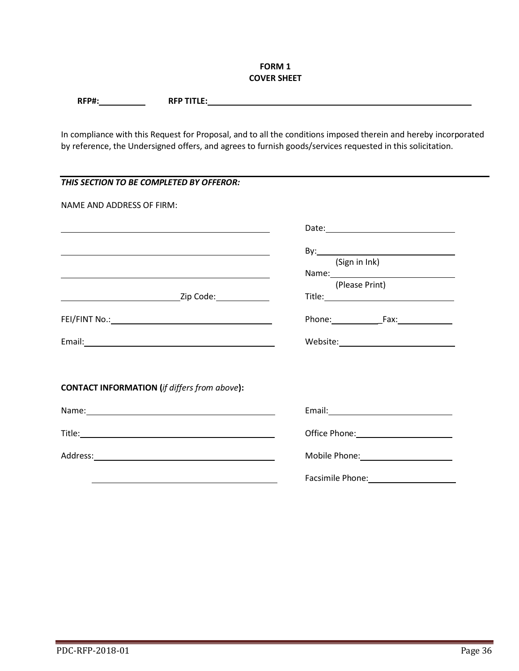# **FORM 1 COVER SHEET**

| RFP#<br>п,<br>the contract of the contract of the contract of | $\sim$ $\sim$ $\sim$ $\sim$ $\sim$ $\sim$<br>nrn·<br>N<br>. |
|---------------------------------------------------------------|-------------------------------------------------------------|
|                                                               |                                                             |

In compliance with this Request for Proposal, and to all the conditions imposed therein and hereby incorporated by reference, the Undersigned offers, and agrees to furnish goods/services requested in this solicitation.

| THIS SECTION TO BE COMPLETED BY OFFEROR:                                                                                                                                                                                      |                                                                                                                                                                                                                                      |
|-------------------------------------------------------------------------------------------------------------------------------------------------------------------------------------------------------------------------------|--------------------------------------------------------------------------------------------------------------------------------------------------------------------------------------------------------------------------------------|
| NAME AND ADDRESS OF FIRM:                                                                                                                                                                                                     |                                                                                                                                                                                                                                      |
| <u> 1989 - Johann Stoff, amerikansk politiker (* 1908)</u>                                                                                                                                                                    | Date: <u>Date: Expansion of the Second Contract of the Second Contract of the Second Contract of the Second Contract of the Second Contract of the Second Contract of the Second Contract of the Second Contract of the Second C</u> |
| the control of the control of the control of the control of the control of the control of the control of the control of the control of the control of the control of the control of the control of the control of the control | (Sign in Ink)                                                                                                                                                                                                                        |
|                                                                                                                                                                                                                               |                                                                                                                                                                                                                                      |
|                                                                                                                                                                                                                               | (Please Print)                                                                                                                                                                                                                       |
|                                                                                                                                                                                                                               |                                                                                                                                                                                                                                      |
|                                                                                                                                                                                                                               |                                                                                                                                                                                                                                      |
|                                                                                                                                                                                                                               |                                                                                                                                                                                                                                      |
|                                                                                                                                                                                                                               |                                                                                                                                                                                                                                      |
| <b>CONTACT INFORMATION (if differs from above):</b>                                                                                                                                                                           |                                                                                                                                                                                                                                      |
|                                                                                                                                                                                                                               | Email: 2008 Contract Contract Contract Contract Contract Contract Contract Contract Contract Contract Contract Contract Contract Contract Contract Contract Contract Contract Contract Contract Contract Contract Contract Con       |
|                                                                                                                                                                                                                               |                                                                                                                                                                                                                                      |
|                                                                                                                                                                                                                               | Mobile Phone: National Phone State Contract Contract Contract Contract Contract Contract Contract Contract Contract Contract Contract Contract Contract Contract Contract Contract Contract Contract Contract Contract Contrac       |
|                                                                                                                                                                                                                               | Facsimile Phone: 1999                                                                                                                                                                                                                |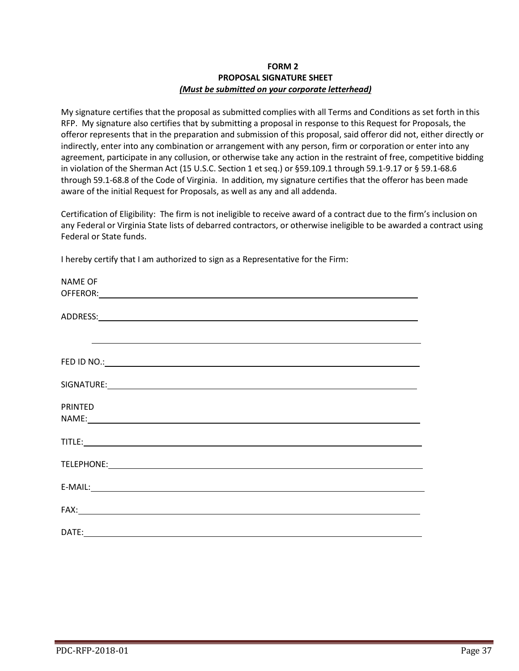# **FORM 2 PROPOSAL SIGNATURE SHEET** *(Must be submitted on your corporate letterhead)*

My signature certifies that the proposal as submitted complies with all Terms and Conditions as set forth in this RFP. My signature also certifies that by submitting a proposal in response to this Request for Proposals, the offeror represents that in the preparation and submission of this proposal, said offeror did not, either directly or indirectly, enter into any combination or arrangement with any person, firm or corporation or enter into any agreement, participate in any collusion, or otherwise take any action in the restraint of free, competitive bidding in violation of the Sherman Act (15 U.S.C. Section 1 et seq.) or §59.109.1 through 59.1-9.17 or § 59.1-68.6 through 59.1-68.8 of the Code of Virginia. In addition, my signature certifies that the offeror has been made aware of the initial Request for Proposals, as well as any and all addenda.

Certification of Eligibility: The firm is not ineligible to receive award of a contract due to the firm's inclusion on any Federal or Virginia State lists of debarred contractors, or otherwise ineligible to be awarded a contract using Federal or State funds.

I hereby certify that I am authorized to sign as a Representative for the Firm:

| <b>NAME OF</b>                                                                                                                                                                                                                       |  |  |
|--------------------------------------------------------------------------------------------------------------------------------------------------------------------------------------------------------------------------------------|--|--|
|                                                                                                                                                                                                                                      |  |  |
|                                                                                                                                                                                                                                      |  |  |
|                                                                                                                                                                                                                                      |  |  |
|                                                                                                                                                                                                                                      |  |  |
| <u>and the contract of the contract of the contract of the contract of the contract of the contract of the contract of the contract of the contract of the contract of the contract of the contract of the contract of the contr</u> |  |  |
|                                                                                                                                                                                                                                      |  |  |
|                                                                                                                                                                                                                                      |  |  |
|                                                                                                                                                                                                                                      |  |  |
|                                                                                                                                                                                                                                      |  |  |
| <b>PRINTED</b>                                                                                                                                                                                                                       |  |  |
|                                                                                                                                                                                                                                      |  |  |
|                                                                                                                                                                                                                                      |  |  |
|                                                                                                                                                                                                                                      |  |  |
|                                                                                                                                                                                                                                      |  |  |
|                                                                                                                                                                                                                                      |  |  |
|                                                                                                                                                                                                                                      |  |  |
| $E-MAIL:$                                                                                                                                                                                                                            |  |  |
|                                                                                                                                                                                                                                      |  |  |
|                                                                                                                                                                                                                                      |  |  |
|                                                                                                                                                                                                                                      |  |  |
|                                                                                                                                                                                                                                      |  |  |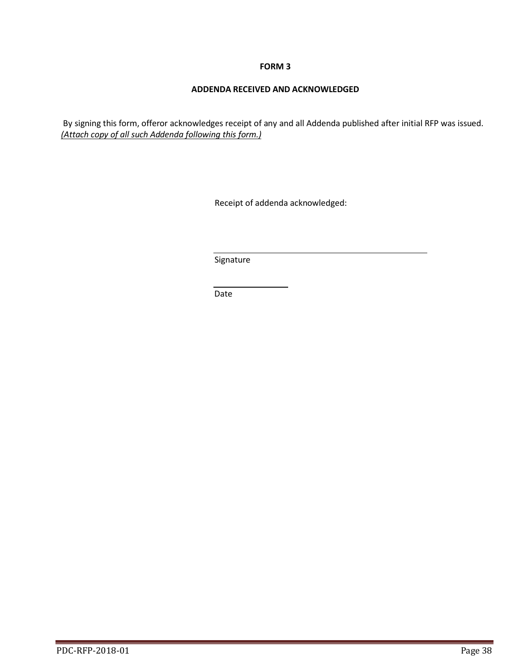# **ADDENDA RECEIVED AND ACKNOWLEDGED**

By signing this form, offeror acknowledges receipt of any and all Addenda published after initial RFP was issued. *(Attach copy of all such Addenda following this form.)*

Receipt of addenda acknowledged:

Signature

Date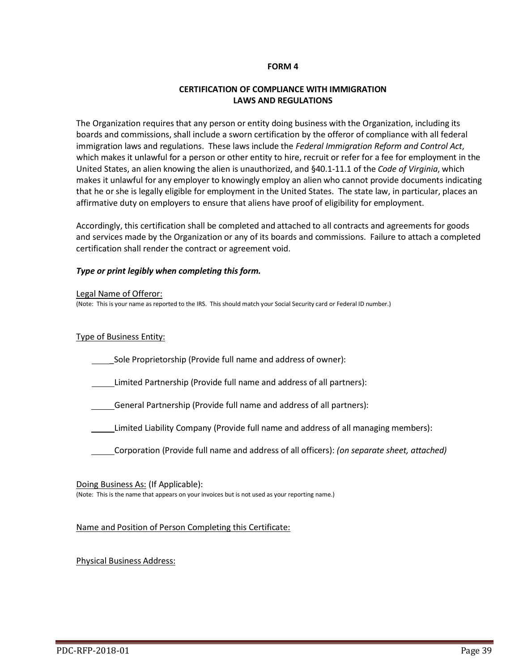## **CERTIFICATION OF COMPLIANCE WITH IMMIGRATION LAWS AND REGULATIONS**

The Organization requires that any person or entity doing business with the Organization, including its boards and commissions, shall include a sworn certification by the offeror of compliance with all federal immigration laws and regulations. These laws include the *Federal Immigration Reform and Control Act*, which makes it unlawful for a person or other entity to hire, recruit or refer for a fee for employment in the United States, an alien knowing the alien is unauthorized, and §40.1-11.1 of the *Code of Virginia*, which makes it unlawful for any employer to knowingly employ an alien who cannot provide documents indicating that he or she is legally eligible for employment in the United States. The state law, in particular, places an affirmative duty on employers to ensure that aliens have proof of eligibility for employment.

Accordingly, this certification shall be completed and attached to all contracts and agreements for goods and services made by the Organization or any of its boards and commissions. Failure to attach a completed certification shall render the contract or agreement void.

## *Type or print legibly when completing this form.*

#### Legal Name of Offeror:

(Note: This is your name as reported to the IRS. This should match your Social Security card or Federal ID number.)

#### Type of Business Entity:

Sole Proprietorship (Provide full name and address of owner):

Limited Partnership (Provide full name and address of all partners):

General Partnership (Provide full name and address of all partners):

Limited Liability Company (Provide full name and address of all managing members):

Corporation (Provide full name and address of all officers): *(on separate sheet, attached)*

#### Doing Business As: (If Applicable):

(Note: This is the name that appears on your invoices but is not used as your reporting name.)

Name and Position of Person Completing this Certificate:

## Physical Business Address: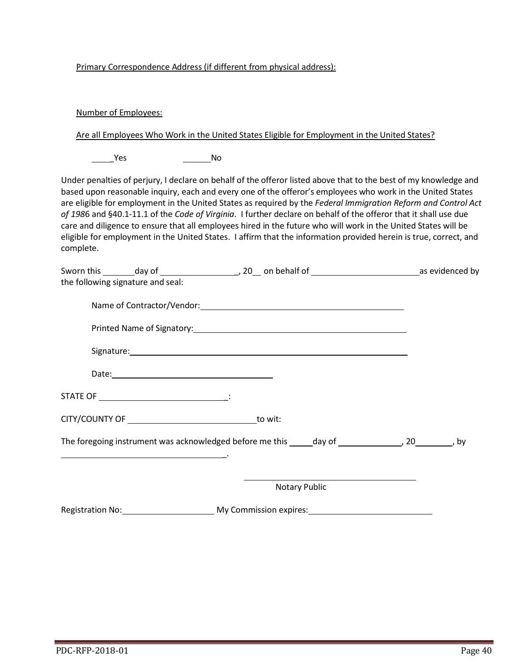## Primary Correspondence Address (if different from physical address):

## Number of Employees:

Are all Employees Who Work in the United States Eligible for Employment in the United States?

Yes No

Under penalties of perjury, I declare on behalf of the offeror listed above that to the best of my knowledge and based upon reasonable inquiry, each and every one of the offeror's employees who work in the United States are eligible for employment in the United States as required by the *Federal Immigration Reform and Control Act of 198*6 and §40.1-11.1 of the *Code of Virginia*. I further declare on behalf of the offeror that it shall use due care and diligence to ensure that all employees hired in the future who will work in the United States will be eligible for employment in the United States. I affirm that the information provided herein is true, correct, and complete.

| the following signature and seal: |                                                                                                                |  |
|-----------------------------------|----------------------------------------------------------------------------------------------------------------|--|
|                                   |                                                                                                                |  |
|                                   |                                                                                                                |  |
|                                   |                                                                                                                |  |
|                                   |                                                                                                                |  |
|                                   |                                                                                                                |  |
|                                   |                                                                                                                |  |
|                                   | The foregoing instrument was acknowledged before me this _____ day of ____________________________, by         |  |
|                                   | <u> 1989 - Johann Barn, amerikansk politiker (d. 1989)</u>                                                     |  |
|                                   | <b>Notary Public</b>                                                                                           |  |
|                                   | Registration No: Manual Music My Commission expires: Manual Music Music Music Music Music Music Music Music Mu |  |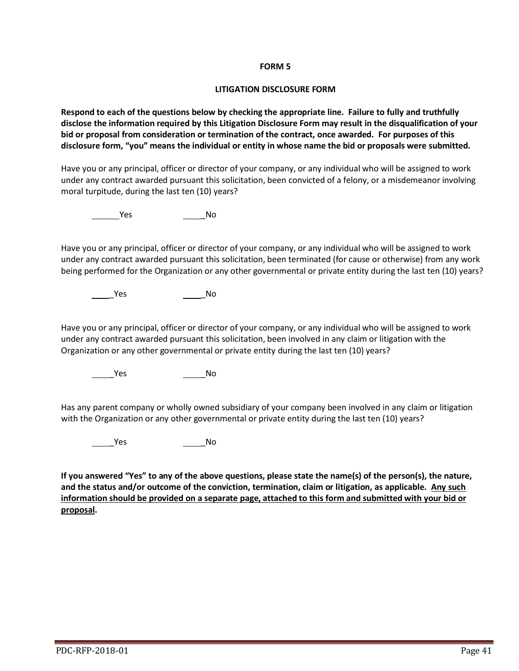#### **LITIGATION DISCLOSURE FORM**

**Respond to each of the questions below by checking the appropriate line. Failure to fully and truthfully disclose the information required by this Litigation Disclosure Form may result in the disqualification of your bid or proposal from consideration or termination of the contract, once awarded. For purposes of this disclosure form, "you" means the individual or entity in whose name the bid or proposals were submitted.**

Have you or any principal, officer or director of your company, or any individual who will be assigned to work under any contract awarded pursuant this solicitation, been convicted of a felony, or a misdemeanor involving moral turpitude, during the last ten (10) years?

**The Second Second Second Second Second Second Second Second Second Second Second Second Second Second Second S** 

Have you or any principal, officer or director of your company, or any individual who will be assigned to work under any contract awarded pursuant this solicitation, been terminated (for cause or otherwise) from any work being performed for the Organization or any other governmental or private entity during the last ten (10) years?

**The Second Second Second Second Second Second Second Second Second Second Second Second Second Second Second Second Second Second Second Second Second Second Second Second Second Second Second Second Second Second Second** 

Have you or any principal, officer or director of your company, or any individual who will be assigned to work under any contract awarded pursuant this solicitation, been involved in any claim or litigation with the Organization or any other governmental or private entity during the last ten (10) years?

\_Yes \_No

Has any parent company or wholly owned subsidiary of your company been involved in any claim or litigation with the Organization or any other governmental or private entity during the last ten (10) years?

\_\_\_\_\_\_\_Yes \_\_\_\_\_\_\_\_\_\_\_\_\_\_\_\_\_\_\_No

**If you answered "Yes" to any of the above questions, please state the name(s) of the person(s), the nature, and the status and/or outcome of the conviction, termination, claim or litigation, as applicable. Any such information should be provided on a separate page, attached to this form and submitted with your bid or proposal.**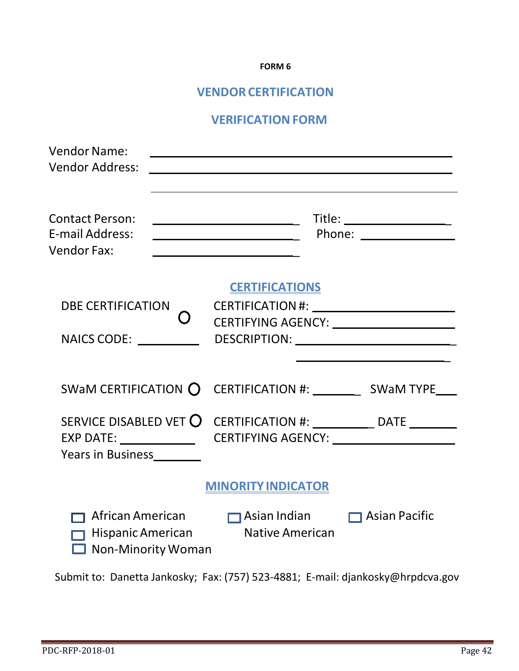# **VENDOR CERTIFICATION**

# **VERIFICATION FORM**

| <b>Vendor Name:</b><br><b>Vendor Address:</b>                                                                                                                                           |                                                                                                                                                                     |  |
|-----------------------------------------------------------------------------------------------------------------------------------------------------------------------------------------|---------------------------------------------------------------------------------------------------------------------------------------------------------------------|--|
| <b>Contact Person:</b><br>E-mail Address:<br><b>Vendor Fax:</b>                                                                                                                         | $\overline{\phantom{a}}$ . The contract of $\overline{\phantom{a}}$<br><u> 1980 - Johann Barbara, martin a</u><br><u> 1989 - Johann Barbara, martxa alemaniar a</u> |  |
| <b>DBE CERTIFICATION</b>                                                                                                                                                                | <b>CERTIFICATIONS</b><br>CERTIFYING AGENCY: ______________________<br>DESCRIPTION: ____________________________                                                     |  |
|                                                                                                                                                                                         |                                                                                                                                                                     |  |
| SERVICE DISABLED VET O CERTIFICATION #: _______________ DATE _________<br>EXP DATE: ________________________CERTIFYING AGENCY: ___________________________<br>Years in Business________ |                                                                                                                                                                     |  |
|                                                                                                                                                                                         | <b>MINORITY INDICATOR</b>                                                                                                                                           |  |
| African American<br>Non-Minority Woman                                                                                                                                                  | Asian Indian <b>D</b> Asian Pacific<br>Hispanic American Native American                                                                                            |  |

Submit to: Danetta Jankosky; Fax: (757) 523-4881; E-mail: [djankosky@hrpdcva.gov](mailto:djankosky@hrpdcva.gov)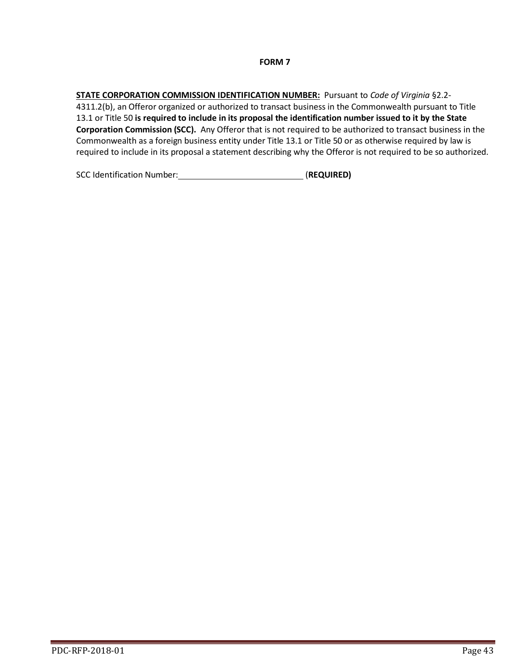**STATE CORPORATION COMMISSION IDENTIFICATION NUMBER:** Pursuant to *Code of Virginia* §2.2- 4311.2(b), an Offeror organized or authorized to transact business in the Commonwealth pursuant to Title 13.1 or Title 50 **is required to include in its proposal the identification number issued to it by the State Corporation Commission (SCC).** Any Offeror that is not required to be authorized to transact business in the Commonwealth as a foreign business entity under Title 13.1 or Title 50 or as otherwise required by law is required to include in its proposal a statement describing why the Offeror is not required to be so authorized.

SCC Identification Number: *CCC* Identification Number: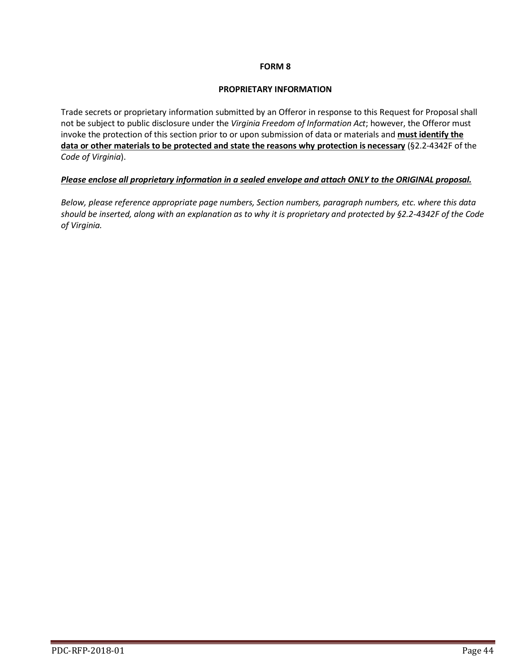#### **PROPRIETARY INFORMATION**

Trade secrets or proprietary information submitted by an Offeror in response to this Request for Proposal shall not be subject to public disclosure under the *Virginia Freedom of Information Act*; however, the Offeror must invoke the protection of this section prior to or upon submission of data or materials and **must identify the data or other materials to be protected and state the reasons why protection is necessary** (§2.2-4342F of the *Code of Virginia*).

# *Please enclose all proprietary information in a sealed envelope and attach ONLY to the ORIGINAL proposal.*

*Below, please reference appropriate page numbers, Section numbers, paragraph numbers, etc. where this data should be inserted, along with an explanation as to why it is proprietary and protected by §2.2-4342F of the Code of Virginia.*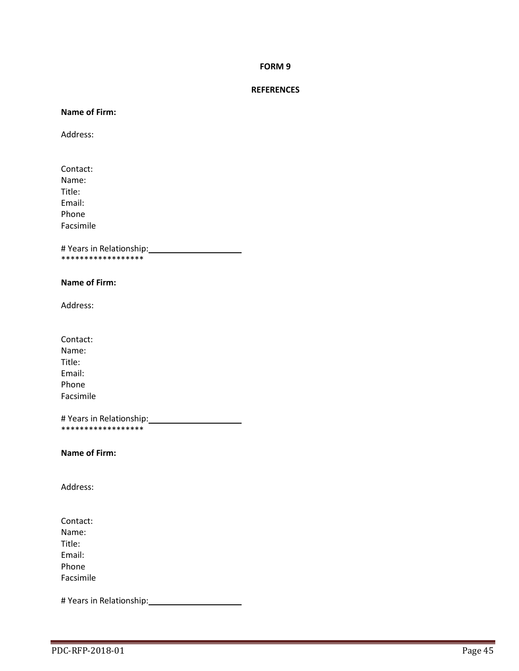#### **REFERENCES**

#### **Name of Firm:**

Address:

Contact: Name: Title: Email: Phone Facsimile

# Years in Relationship: \*\*\*\*\*\*\*\*\*\*\*\*\*\*\*\*\*\*

#### **Name of Firm:**

Address:

Contact: Name: Title: Email: Phone Facsimile

# Years in Relationship: .<br>\*\*\*\*\*\*\*\*\*\*\*\*\*\*\*\*\*\*

**Name of Firm:**

Address:

Contact: Name: Title: Email: Phone Facsimile

# Years in Relationship: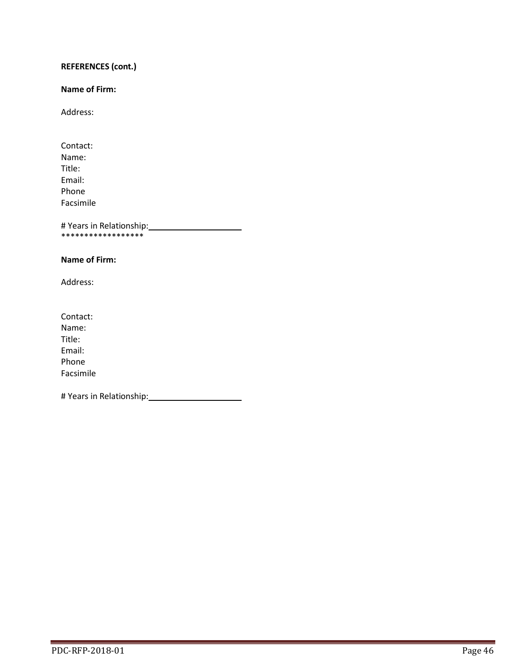# **REFERENCES (cont.)**

## **Name of Firm:**

Address:

Contact: Name: Title: Email: Phone Facsimile

# Years in Relationship: \*\*\*\*\*\*\*\*\*\*\*\*\*\*\*\*\*\*

#### **Name of Firm:**

Address:

Contact: Name: Title: Email: Phone Facsimile

# Years in Relationship: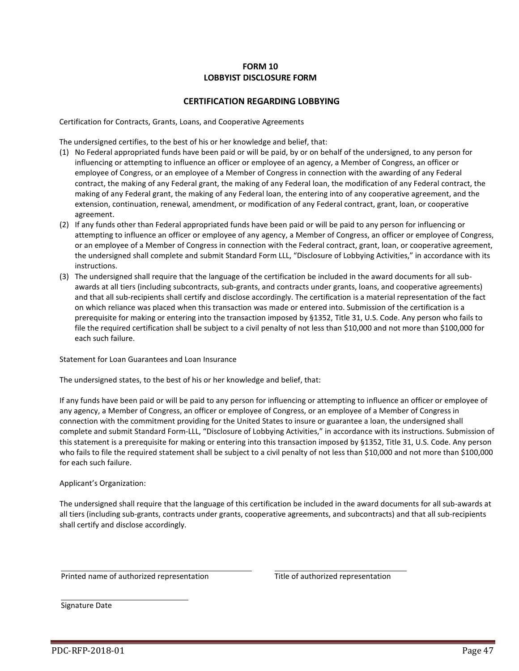# **FORM 10 LOBBYIST DISCLOSURE FORM**

#### **CERTIFICATION REGARDING LOBBYING**

Certification for Contracts, Grants, Loans, and Cooperative Agreements

The undersigned certifies, to the best of his or her knowledge and belief, that:

- (1) No Federal appropriated funds have been paid or will be paid, by or on behalf of the undersigned, to any person for influencing or attempting to influence an officer or employee of an agency, a Member of Congress, an officer or employee of Congress, or an employee of a Member of Congress in connection with the awarding of any Federal contract, the making of any Federal grant, the making of any Federal loan, the modification of any Federal contract, the making of any Federal grant, the making of any Federal loan, the entering into of any cooperative agreement, and the extension, continuation, renewal, amendment, or modification of any Federal contract, grant, loan, or cooperative agreement.
- (2) If any funds other than Federal appropriated funds have been paid or will be paid to any person for influencing or attempting to influence an officer or employee of any agency, a Member of Congress, an officer or employee of Congress, or an employee of a Member of Congress in connection with the Federal contract, grant, loan, or cooperative agreement, the undersigned shall complete and submit Standard Form LLL, "Disclosure of Lobbying Activities," in accordance with its instructions.
- (3) The undersigned shall require that the language of the certification be included in the award documents for all subawards at all tiers (including subcontracts, sub-grants, and contracts under grants, loans, and cooperative agreements) and that all sub-recipients shall certify and disclose accordingly. The certification is a material representation of the fact on which reliance was placed when this transaction was made or entered into. Submission of the certification is a prerequisite for making or entering into the transaction imposed by §1352, Title 31, U.S. Code. Any person who fails to file the required certification shall be subject to a civil penalty of not less than \$10,000 and not more than \$100,000 for each such failure.

Statement for Loan Guarantees and Loan Insurance

The undersigned states, to the best of his or her knowledge and belief, that:

If any funds have been paid or will be paid to any person for influencing or attempting to influence an officer or employee of any agency, a Member of Congress, an officer or employee of Congress, or an employee of a Member of Congress in connection with the commitment providing for the United States to insure or guarantee a loan, the undersigned shall complete and submit Standard Form-LLL, "Disclosure of Lobbying Activities," in accordance with its instructions. Submission of this statement is a prerequisite for making or entering into this transaction imposed by §1352, Title 31, U.S. Code. Any person who fails to file the required statement shall be subject to a civil penalty of not less than \$10,000 and not more than \$100,000 for each such failure.

Applicant's Organization:

The undersigned shall require that the language of this certification be included in the award documents for all sub-awards at all tiers (including sub-grants, contracts under grants, cooperative agreements, and subcontracts) and that all sub-recipients shall certify and disclose accordingly.

Printed name of authorized representation Title of authorized representation

Signature Date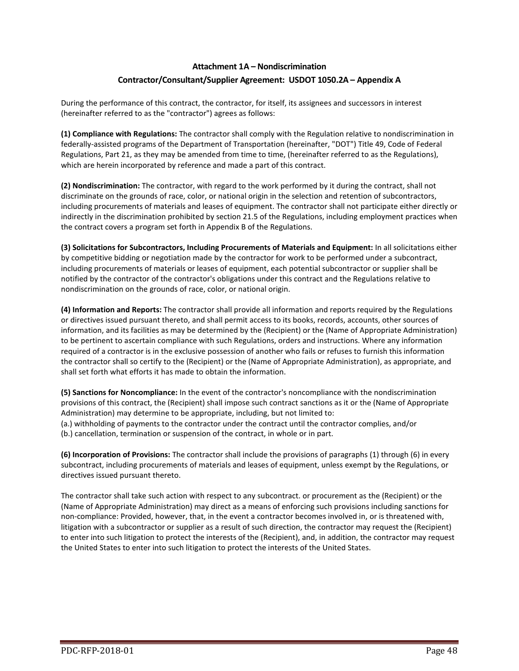# **Attachment 1A – Nondiscrimination Contractor/Consultant/Supplier Agreement: USDOT 1050.2A – Appendix A**

During the performance of this contract, the contractor, for itself, its assignees and successors in interest (hereinafter referred to as the "contractor") agrees as follows:

**(1) Compliance with Regulations:** The contractor shall comply with the Regulation relative to nondiscrimination in federally-assisted programs of the Department of Transportation (hereinafter, "DOT") Title 49, Code of Federal Regulations, Part 21, as they may be amended from time to time, (hereinafter referred to as the Regulations), which are herein incorporated by reference and made a part of this contract.

**(2) Nondiscrimination:** The contractor, with regard to the work performed by it during the contract, shall not discriminate on the grounds of race, color, or national origin in the selection and retention of subcontractors, including procurements of materials and leases of equipment. The contractor shall not participate either directly or indirectly in the discrimination prohibited by section 21.5 of the Regulations, including employment practices when the contract covers a program set forth in Appendix B of the Regulations.

**(3) Solicitations for Subcontractors, Including Procurements of Materials and Equipment:** In all solicitations either by competitive bidding or negotiation made by the contractor for work to be performed under a subcontract, including procurements of materials or leases of equipment, each potential subcontractor or supplier shall be notified by the contractor of the contractor's obligations under this contract and the Regulations relative to nondiscrimination on the grounds of race, color, or national origin.

**(4) Information and Reports:** The contractor shall provide all information and reports required by the Regulations or directives issued pursuant thereto, and shall permit access to its books, records, accounts, other sources of information, and its facilities as may be determined by the (Recipient) or the (Name of Appropriate Administration) to be pertinent to ascertain compliance with such Regulations, orders and instructions. Where any information required of a contractor is in the exclusive possession of another who fails or refuses to furnish this information the contractor shall so certify to the (Recipient) or the (Name of Appropriate Administration), as appropriate, and shall set forth what efforts it has made to obtain the information.

**(5) Sanctions for Noncompliance:** In the event of the contractor's noncompliance with the nondiscrimination provisions of this contract, the (Recipient) shall impose such contract sanctions as it or the (Name of Appropriate Administration) may determine to be appropriate, including, but not limited to:

(a.) withholding of payments to the contractor under the contract until the contractor complies, and/or (b.) cancellation, termination or suspension of the contract, in whole or in part.

**(6) Incorporation of Provisions:** The contractor shall include the provisions of paragraphs (1) through (6) in every subcontract, including procurements of materials and leases of equipment, unless exempt by the Regulations, or directives issued pursuant thereto.

The contractor shall take such action with respect to any subcontract. or procurement as the (Recipient) or the (Name of Appropriate Administration) may direct as a means of enforcing such provisions including sanctions for non-compliance: Provided, however, that, in the event a contractor becomes involved in, or is threatened with, litigation with a subcontractor or supplier as a result of such direction, the contractor may request the (Recipient) to enter into such litigation to protect the interests of the (Recipient), and, in addition, the contractor may request the United States to enter into such litigation to protect the interests of the United States.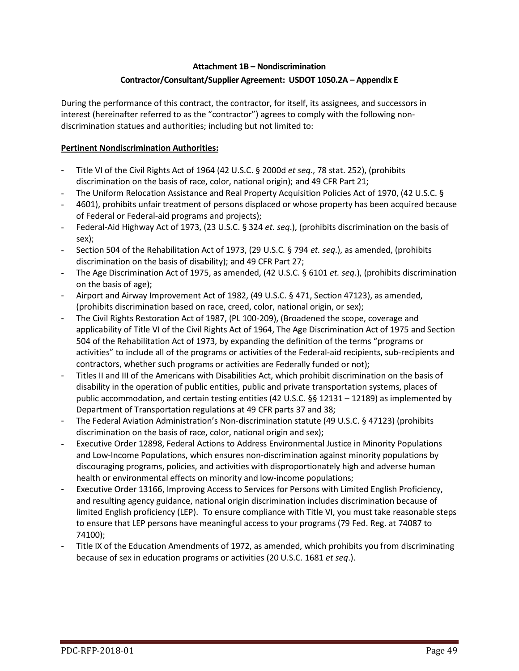# **Attachment 1B – Nondiscrimination Contractor/Consultant/Supplier Agreement: USDOT 1050.2A – Appendix E**

During the performance of this contract, the contractor, for itself, its assignees, and successors in interest (hereinafter referred to as the "contractor") agrees to comply with the following nondiscrimination statues and authorities; including but not limited to:

# **Pertinent Nondiscrimination Authorities:**

- Title VI of the Civil Rights Act of 1964 (42 U.S.C. § 2000d *et seq*., 78 stat. 252), (prohibits discrimination on the basis of race, color, national origin); and 49 CFR Part 21;
- The Uniform Relocation Assistance and Real Property Acquisition Policies Act of 1970, (42 U.S.C. §
- 4601), prohibits unfair treatment of persons displaced or whose property has been acquired because of Federal or Federal-aid programs and projects);
- Federal-Aid Highway Act of 1973, (23 U.S.C. § 324 *et. seq*.), (prohibits discrimination on the basis of sex);
- Section 504 of the Rehabilitation Act of 1973, (29 U.S.C. § 794 *et. seq*.), as amended, (prohibits discrimination on the basis of disability); and 49 CFR Part 27;
- The Age Discrimination Act of 1975, as amended, (42 U.S.C. § 6101 *et. seq*.), (prohibits discrimination on the basis of age);
- Airport and Airway Improvement Act of 1982, (49 U.S.C. § 471, Section 47123), as amended, (prohibits discrimination based on race, creed, color, national origin, or sex);
- The Civil Rights Restoration Act of 1987, (PL 100-209), (Broadened the scope, coverage and applicability of Title VI of the Civil Rights Act of 1964, The Age Discrimination Act of 1975 and Section 504 of the Rehabilitation Act of 1973, by expanding the definition of the terms "programs or activities" to include all of the programs or activities of the Federal-aid recipients, sub-recipients and contractors, whether such programs or activities are Federally funded or not);
- Titles II and III of the Americans with Disabilities Act, which prohibit discrimination on the basis of disability in the operation of public entities, public and private transportation systems, places of public accommodation, and certain testing entities (42 U.S.C. §§ 12131 – 12189) as implemented by Department of Transportation regulations at 49 CFR parts 37 and 38;
- The Federal Aviation Administration's Non-discrimination statute (49 U.S.C. § 47123) (prohibits discrimination on the basis of race, color, national origin and sex);
- Executive Order 12898, Federal Actions to Address Environmental Justice in Minority Populations and Low-Income Populations, which ensures non-discrimination against minority populations by discouraging programs, policies, and activities with disproportionately high and adverse human health or environmental effects on minority and low-income populations;
- Executive Order 13166, Improving Access to Services for Persons with Limited English Proficiency, and resulting agency guidance, national origin discrimination includes discrimination because of limited English proficiency (LEP). To ensure compliance with Title VI, you must take reasonable steps to ensure that LEP persons have meaningful access to your programs (79 Fed. Reg. at 74087 to 74100);
- Title IX of the Education Amendments of 1972, as amended, which prohibits you from discriminating because of sex in education programs or activities (20 U.S.C. 1681 *et seq*.).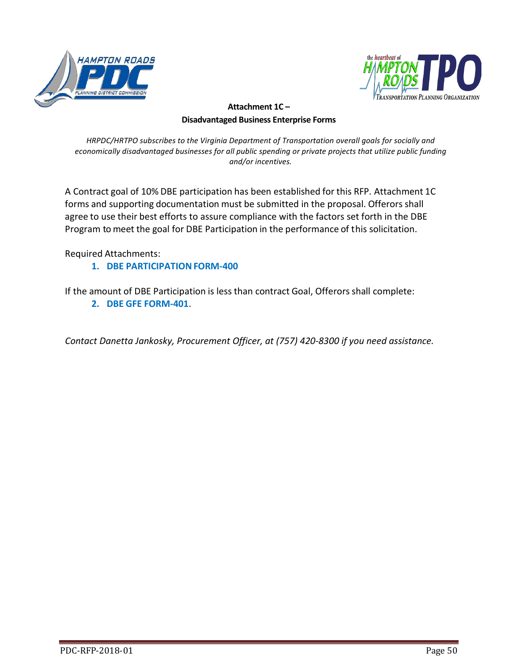



# **Attachment 1C – Disadvantaged Business Enterprise Forms**

*HRPDC/HRTPO subscribes to the Virginia Department of Transportation overall goals for socially and economically disadvantaged businesses for all public spending or private projects that utilize public funding and/or incentives.*

A Contract goal of 10% DBE participation has been established for this RFP. Attachment 1C forms and supporting documentation must be submitted in the proposal. Offerors shall agree to use their best efforts to assure compliance with the factors set forth in the DBE Program to meet the goal for DBE Participation in the performance of this solicitation.

Required Attachments:

**1. DBE PARTICIPATIONFORM-400**

If the amount of DBE Participation is less than contract Goal, Offerors shall complete: **2. DBE GFE FORM-401**.

*Contact Danetta Jankosky, Procurement Officer, at (757) 420-8300 if you need assistance.*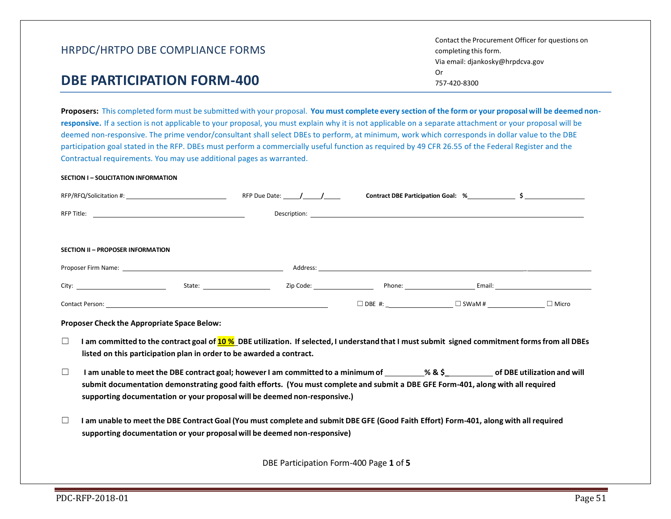# **DBE PARTICIPATION FORM-400**

Proposers: This completed form must be submitted with your proposal. You must complete every section of the form or your proposal will be deemed non**responsive.** If a section is not applicable to your proposal, you must explain why it is not applicable on a separate attachment or your proposal will be deemed non-responsive. The prime vendor/consultant shall select DBEs to perform, at minimum, work which corresponds in dollar value to the DBE participation goal stated in the RFP. DBEs must perform a commercially useful function as required by 49 CFR 26.55 of the Federal Register and the Contractual requirements. You may use additional pages as warranted.

#### **SECTION I – SOLICITATION INFORMATION**

|                                                                                                                                                                                                                                          | RFP Due Date: / / | Contract DBE Participation Goal: % \$          |  |
|------------------------------------------------------------------------------------------------------------------------------------------------------------------------------------------------------------------------------------------|-------------------|------------------------------------------------|--|
|                                                                                                                                                                                                                                          |                   |                                                |  |
|                                                                                                                                                                                                                                          |                   |                                                |  |
| SECTION II - PROPOSER INFORMATION                                                                                                                                                                                                        |                   |                                                |  |
|                                                                                                                                                                                                                                          |                   |                                                |  |
| City:                                                                                                                                                                                                                                    |                   | Zip Code: The Phone: The Phone Contract Email: |  |
| <b>Contact Person: Contact Person: Contact Person: Contact Person:</b>                                                                                                                                                                   |                   |                                                |  |
| Proposer Check the Appropriate Space Below:                                                                                                                                                                                              |                   |                                                |  |
| $\Box$<br>I am committed to the contract goal of <b>10 %</b> DBE utilization. If selected, I understand that I must submit signed commitment forms from all DBEs<br>listed on this participation plan in order to be awarded a contract. |                   |                                                |  |

- ☐ **I am unable to meet the DBE contract goal; howeverI am committed to a minimum of % & \$\_ of DBE utilization and will submit documentation demonstrating good faith efforts. (You must complete and submit a DBE GFE Form-401, along with all required supporting documentation or your proposal will be deemed non-responsive.)**
- $\Box$  I am unable to meet the DBE Contract Goal (You must complete and submit DBE GFE (Good Faith Effort) Form-401, along with all required **supporting documentation or your proposal will be deemed non-responsive)**

DBE Participation Form-400 Page **1** of **5**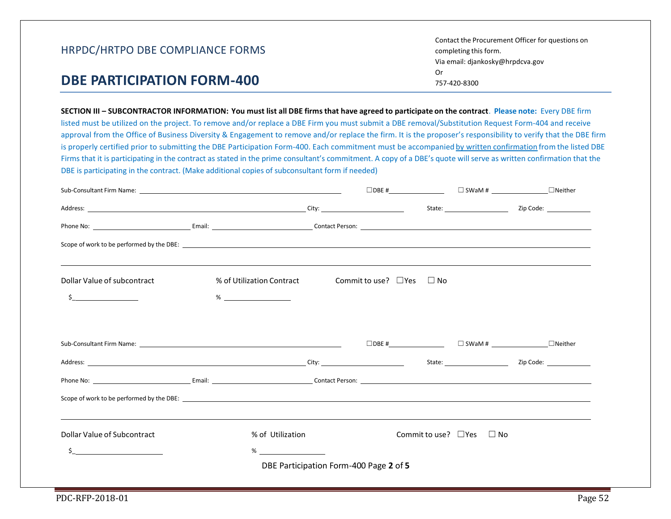| HRPDC/HRTPO DBE COMPLIANCE FORMS | Contact the Procurement Officer for questions on<br>completing this form.<br>Via email: djankosky@hrpdcva.gov |
|----------------------------------|---------------------------------------------------------------------------------------------------------------|
| DBE PARTICIPATION FORM-400       | 0r<br>757-420-8300                                                                                            |

SECTION III - SUBCONTRACTOR INFORMATION: You must list all DBE firms that have agreed to participate on the contract. Please note: Every DBE firm listed must be utilized on the project. To remove and/or replace a DBE Firm you must submit a DBE removal/Substitution Request Form-404 and receive approval from the Office of Business Diversity & Engagement to remove and/or replace the firm. It is the proposer's responsibility to verify that the DBE firm is properly certified prior to submitting the DBE Participation Form-400. Each commitment must be accompanied by written confirmation from the listed DBE Firms that it is participating in the contract as stated in the prime consultant's commitment. A copy of a DBE's quote will serve as written confirmation that the DBE is participating in the contract. (Make additional copies of subconsultant form if needed)

|                                                   |                           |                                        |  |                                     | $\Box$ DBE # $\Box$ $\Box$ SWaM # $\Box$ $\Box$ Neither |  |
|---------------------------------------------------|---------------------------|----------------------------------------|--|-------------------------------------|---------------------------------------------------------|--|
|                                                   |                           |                                        |  |                                     |                                                         |  |
|                                                   |                           |                                        |  |                                     |                                                         |  |
|                                                   |                           |                                        |  |                                     |                                                         |  |
| Dollar Value of subcontract                       | % of Utilization Contract | Commit to use? $\Box$ Yes $\Box$ No    |  |                                     |                                                         |  |
| $\frac{1}{2}$                                     |                           |                                        |  |                                     |                                                         |  |
|                                                   |                           |                                        |  |                                     |                                                         |  |
|                                                   |                           |                                        |  |                                     |                                                         |  |
|                                                   |                           |                                        |  |                                     |                                                         |  |
|                                                   |                           |                                        |  |                                     |                                                         |  |
| Dollar Value of Subcontract                       | % of Utilization          |                                        |  | Commit to use? $\Box$ Yes $\Box$ No |                                                         |  |
| <u> 1980 - Andrea Station Barbara, poeta esta</u> | $\%$                      |                                        |  |                                     |                                                         |  |
|                                                   |                           | DBE Participation Form-400 Page 2 of 5 |  |                                     |                                                         |  |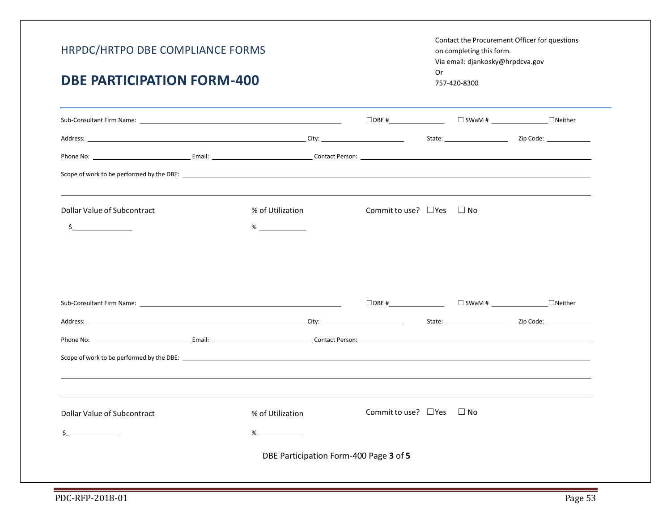#### Contact the Procurement Officer for questions on completing this form. Via email: djankosky@hrpdcva.gov Or 757-420-8300

# **DBE PARTICIPATION FORM-400**

|                                           |                                        | $\Box$ DBE #                        |           | $\Box$ SWaM # $\Box$ Neither |
|-------------------------------------------|----------------------------------------|-------------------------------------|-----------|------------------------------|
|                                           |                                        |                                     |           |                              |
|                                           |                                        |                                     |           |                              |
|                                           |                                        |                                     |           |                              |
| Dollar Value of Subcontract               | % of Utilization                       | Commit to use? $\Box$ Yes $\Box$ No |           |                              |
| <u>and the state of the state</u>         | $\%$                                   |                                     |           |                              |
|                                           |                                        |                                     |           |                              |
|                                           |                                        |                                     |           |                              |
|                                           |                                        |                                     |           |                              |
|                                           |                                        |                                     |           |                              |
|                                           |                                        |                                     |           |                              |
| Scope of work to be performed by the DBE: |                                        |                                     |           |                              |
|                                           |                                        |                                     |           |                              |
| Dollar Value of Subcontract               | % of Utilization                       | Commit to use? $\Box$ Yes           | $\Box$ No |                              |
|                                           | $\%$                                   |                                     |           |                              |
|                                           | DBE Participation Form-400 Page 3 of 5 |                                     |           |                              |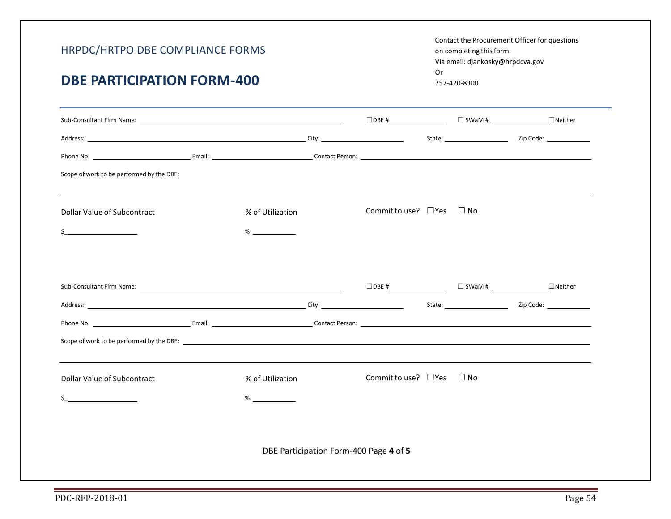Contact the Procurement Officer for questions on completing this form. Via email: djankosky@hrpdcva.gov Or 757-420-8300

# **DBE PARTICIPATION FORM-400**

| Sub-Consultant Firm Name: The Consultant Sub-Consultant Consultant Consultant Consultant Consultant Consultant                                                                                                                 |                                        |                           |              | $\Box$ DBE # $\Box$ $\Box$ SWaM # $\Box$ $\Box$ Neither |
|--------------------------------------------------------------------------------------------------------------------------------------------------------------------------------------------------------------------------------|----------------------------------------|---------------------------|--------------|---------------------------------------------------------|
|                                                                                                                                                                                                                                |                                        |                           |              |                                                         |
| Phone No: 2008 Contact Person: 2008 Contact Person: 2008 Contact Person: 2008 Contact Person: 2008 Contact Person: 2008 Contact Person: 2008 Contact Person: 2008 Contact Person: 2008 Contact Person: 2008 Contact Person: 20 |                                        |                           |              |                                                         |
| Scope of work to be performed by the DBE:                                                                                                                                                                                      |                                        |                           |              |                                                         |
| Dollar Value of Subcontract                                                                                                                                                                                                    | % of Utilization                       | Commit to use? $\Box$ Yes | $\square$ No |                                                         |
|                                                                                                                                                                                                                                | $\%$                                   |                           |              |                                                         |
|                                                                                                                                                                                                                                |                                        |                           |              |                                                         |
|                                                                                                                                                                                                                                |                                        |                           |              |                                                         |
|                                                                                                                                                                                                                                |                                        |                           |              |                                                         |
|                                                                                                                                                                                                                                |                                        |                           |              |                                                         |
| Scope of work to be performed by the DBE: North Communication of the Communication of the Communication of the Communication of the Communication of the Communication of the Communication of the Communication of the Commun |                                        |                           |              |                                                         |
|                                                                                                                                                                                                                                |                                        |                           |              |                                                         |
| Dollar Value of Subcontract                                                                                                                                                                                                    | % of Utilization                       | Commit to use? $\Box$ Yes | $\Box$ No    |                                                         |
|                                                                                                                                                                                                                                | $\%$                                   |                           |              |                                                         |
|                                                                                                                                                                                                                                |                                        |                           |              |                                                         |
|                                                                                                                                                                                                                                | DBE Participation Form-400 Page 4 of 5 |                           |              |                                                         |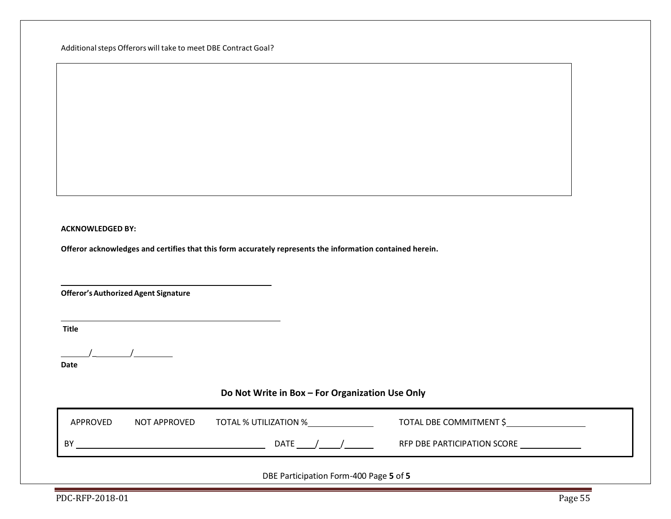Additional steps Offerors will take to meet DBE Contract Goal?

#### **ACKNOWLEDGED BY:**

**Offeror acknowledges and certifies that this form accurately represents the information contained herein.**

**Offeror'sAuthorized Agent Signature**

**Title**

 $\frac{1}{2}$  /

**Date**

# **Do Not Write in Box – For Organization Use Only**

| APPROVED                               | NOT APPROVED | TOTAL % UTILIZATION % | TOTAL DBE COMMITMENT \$     |  |  |  |
|----------------------------------------|--------------|-----------------------|-----------------------------|--|--|--|
| BY                                     |              | DATE                  | RFP DBE PARTICIPATION SCORE |  |  |  |
| DBE Participation Form-400 Page 5 of 5 |              |                       |                             |  |  |  |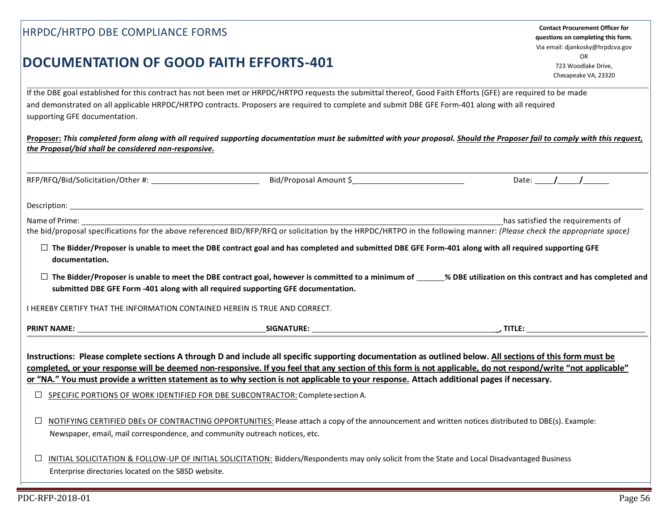|                                                                                                                                                                | questions on comp<br>Via email: djankosk |
|----------------------------------------------------------------------------------------------------------------------------------------------------------------|------------------------------------------|
|                                                                                                                                                                | OR                                       |
| DOCUMENTATION OF GOOD FAITH EFFORTS-401                                                                                                                        | 723 Woodla                               |
|                                                                                                                                                                | Chesapeake \                             |
| If the DBE goal established for this contract has not been met or HRPDC/HRTPO requests the submittal thereof, Good Faith Efforts (GFE) are required to be made |                                          |
| and demonstrated on all applicable HRPDC/HRTPO contracts. Proposers are required to complete and submit DBE GFE Form-401 along with all required               |                                          |
| supporting GFE documentation.                                                                                                                                  |                                          |

**Contact Procurement Officer for questions on completing this form.**  Via email: djankosky@hrpdcva.gov OR 723 Woodlake Drive, Chesapeake VA, 23320

| supporting GFE documentation.                                                                                                                                              |
|----------------------------------------------------------------------------------------------------------------------------------------------------------------------------|
| Proposer: This completed form along with all required supporting documentation must be submitted with your proposal. Should the Proposer fail to comply with this request, |
| the Proposal/bid shall be considered non-responsive.                                                                                                                       |

|                                                                                    |                                                                                                                                                                                                                                                                                                                                                                                                                                                                                                                                                            | Date: / / |
|------------------------------------------------------------------------------------|------------------------------------------------------------------------------------------------------------------------------------------------------------------------------------------------------------------------------------------------------------------------------------------------------------------------------------------------------------------------------------------------------------------------------------------------------------------------------------------------------------------------------------------------------------|-----------|
|                                                                                    |                                                                                                                                                                                                                                                                                                                                                                                                                                                                                                                                                            |           |
|                                                                                    |                                                                                                                                                                                                                                                                                                                                                                                                                                                                                                                                                            |           |
| documentation.                                                                     | $\Box$ The Bidder/Proposer is unable to meet the DBE contract goal and has completed and submitted DBE GFE Form-401 along with all required supporting GFE                                                                                                                                                                                                                                                                                                                                                                                                 |           |
|                                                                                    | $\Box$ The Bidder/Proposer is unable to meet the DBE contract goal, however is committed to a minimum of _____% DBE utilization on this contract and has completed and<br>submitted DBE GFE Form -401 along with all required supporting GFE documentation.                                                                                                                                                                                                                                                                                                |           |
| <b>I HEREBY CERTIFY THAT THE INFORMATION CONTAINED HEREIN IS TRUE AND CORRECT.</b> |                                                                                                                                                                                                                                                                                                                                                                                                                                                                                                                                                            |           |
|                                                                                    |                                                                                                                                                                                                                                                                                                                                                                                                                                                                                                                                                            |           |
| $\Box$                                                                             | Instructions: Please complete sections A through D and include all specific supporting documentation as outlined below. All sections of this form must be<br>completed, or your response will be deemed non-responsive. If you feel that any section of this form is not applicable, do not respond/write "not applicable"<br>or "NA." You must provide a written statement as to why section is not applicable to your response. Attach additional pages if necessary.<br>SPECIFIC PORTIONS OF WORK IDENTIFIED FOR DBE SUBCONTRACTOR: Complete section A. |           |
| Newspaper, email, mail correspondence, and community outreach notices, etc.        | NOTIFYING CERTIFIED DBEs OF CONTRACTING OPPORTUNITIES: Please attach a copy of the announcement and written notices distributed to DBE(s). Example:                                                                                                                                                                                                                                                                                                                                                                                                        |           |

**□** INITIAL SOLICITATION & FOLLOW-UP OF INITIAL SOLICITATION: Bidders/Respondents may only solicit from the State and Local Disadvantaged Business Enterprise directories located on the SBSD website.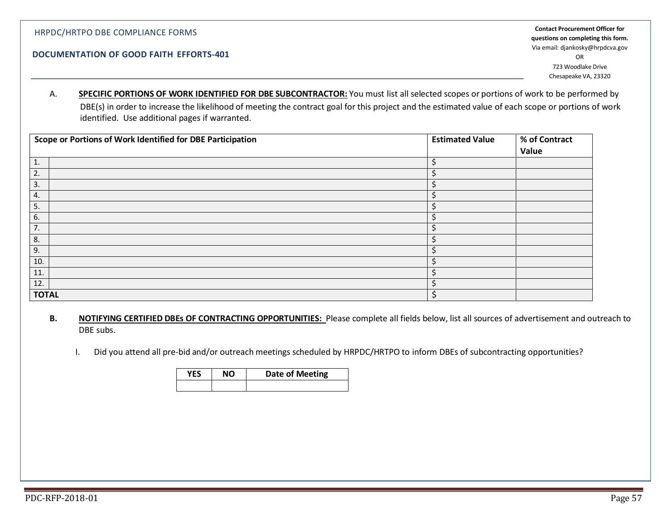#### E RESPONSIVENESS AND DOCUMENTATION OF GOOD FAITH EFFORTS **DOCUMENTATION OF GOOD FAITH EFFORTS-401**

**Contact Procurement Officer for questions on completing this form.**  Via email: djankosky@hrpdcva.gov OR 723 Woodlake Drive Chesapeake VA, 23320

A. **SPECIFIC PORTIONS OF WORK IDENTIFIED FOR DBE SUBCONTRACTOR:** You must list all selected scopes or portions of work to be performed by DBE(s) in order to increase the likelihood of meeting the contract goal for this project and the estimated value of each scope or portions of work identified. Use additional pages if warranted.

| Scope or Portions of Work Identified for DBE Participation | <b>Estimated Value</b> | % of Contract |
|------------------------------------------------------------|------------------------|---------------|
|                                                            |                        | Value         |
| 1.                                                         |                        |               |
| 2.                                                         |                        |               |
| 3.                                                         |                        |               |
| 4.                                                         |                        |               |
| 5.                                                         |                        |               |
| 6.                                                         |                        |               |
| 7.                                                         |                        |               |
| 8.                                                         |                        |               |
| 9.                                                         |                        |               |
| 10.                                                        |                        |               |
| 11.                                                        |                        |               |
| 12.                                                        |                        |               |
| <b>TOTAL</b>                                               |                        |               |

- **B. NOTIFYING CERTIFIED DBEs OF CONTRACTING OPPORTUNITIES:** Please complete all fields below, list all sources of advertisement and outreach to DBE subs.
	- I. Did you attend all pre-bid and/or outreach meetings scheduled by HRPDC/HRTPO to inform DBEs of subcontracting opportunities?

| YFS | NO | Date of Meeting |
|-----|----|-----------------|
|     |    |                 |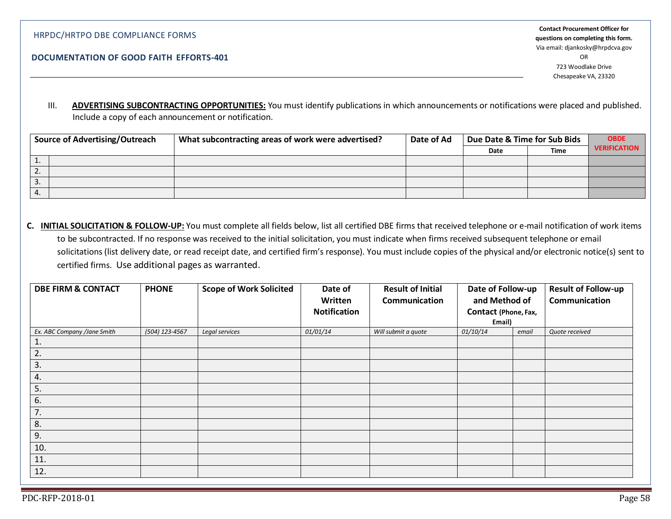# III. **ADVERTISING SUBCONTRACTING OPPORTUNITIES:** You must identify publications in which announcements or notifications were placed and published. Include a copy of each announcement or notification.

| <b>Source of Advertising/Outreach</b> |  | What subcontracting areas of work were advertised? | Date of Ad | Due Date & Time for Sub Bids |      | <b>OBDE</b>         |
|---------------------------------------|--|----------------------------------------------------|------------|------------------------------|------|---------------------|
|                                       |  |                                                    |            | Date                         | Time | <b>VERIFICATION</b> |
|                                       |  |                                                    |            |                              |      |                     |
| z.                                    |  |                                                    |            |                              |      |                     |
| 3.                                    |  |                                                    |            |                              |      |                     |
|                                       |  |                                                    |            |                              |      |                     |

**C. INITIAL SOLICITATION & FOLLOW-UP:** You must complete all fields below, list all certified DBE firms that received telephone or e-mail notification of work items to be subcontracted. If no response was received to the initial solicitation, you must indicate when firms received subsequent telephone or email solicitations (list delivery date, or read receipt date, and certified firm's response). You must include copies of the physical and/or electronic notice(s) sent to certified firms. Use additional pages as warranted.

| <b>DBE FIRM &amp; CONTACT</b> | <b>PHONE</b>   | <b>Scope of Work Solicited</b> | Date of             | <b>Result of Initial</b> | Date of Follow-up    |       | Result of Follow-up |  |               |
|-------------------------------|----------------|--------------------------------|---------------------|--------------------------|----------------------|-------|---------------------|--|---------------|
|                               |                |                                | Written             | Communication            | and Method of        |       |                     |  | Communication |
|                               |                |                                | <b>Notification</b> |                          | Contact (Phone, Fax, |       |                     |  |               |
|                               |                |                                |                     |                          | Email)               |       |                     |  |               |
| Ex. ABC Company /Jane Smith   | (504) 123-4567 | Legal services                 | 01/01/14            | Will submit a quote      | 01/10/14             | email | Quote received      |  |               |
| 1.                            |                |                                |                     |                          |                      |       |                     |  |               |
| 2.                            |                |                                |                     |                          |                      |       |                     |  |               |
| 3.                            |                |                                |                     |                          |                      |       |                     |  |               |
| 4.                            |                |                                |                     |                          |                      |       |                     |  |               |
| 5.                            |                |                                |                     |                          |                      |       |                     |  |               |
| 6.                            |                |                                |                     |                          |                      |       |                     |  |               |
| 7.                            |                |                                |                     |                          |                      |       |                     |  |               |
| 8.                            |                |                                |                     |                          |                      |       |                     |  |               |
| 9.                            |                |                                |                     |                          |                      |       |                     |  |               |
| 10.                           |                |                                |                     |                          |                      |       |                     |  |               |
| 11.                           |                |                                |                     |                          |                      |       |                     |  |               |
| 12.                           |                |                                |                     |                          |                      |       |                     |  |               |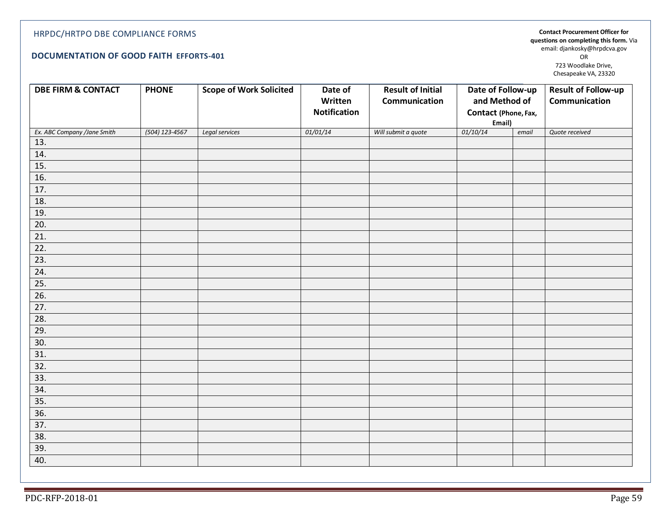#### **DOCUMENTATION OF GOOD FAITH EFFORTS-401**

**Contact Procurement Officer for questions on completing this form.** Via email: djankosky@hrpdcva.gov OR 723 Woodlake Drive, Chesapeake VA, 23320

| <b>DBE FIRM &amp; CONTACT</b> | <b>PHONE</b>   | <b>Scope of Work Solicited</b> | Date of             | <b>Result of Initial</b> | Date of Follow-up    |       | <b>Result of Follow-up</b> |
|-------------------------------|----------------|--------------------------------|---------------------|--------------------------|----------------------|-------|----------------------------|
|                               |                |                                | Written             | Communication            | and Method of        |       | Communication              |
|                               |                |                                | <b>Notification</b> |                          | Contact (Phone, Fax, |       |                            |
|                               |                |                                |                     |                          | Email)               |       |                            |
| Ex. ABC Company /Jane Smith   | (504) 123-4567 | Legal services                 | 01/01/14            | Will submit a quote      | 01/10/14             | email | Quote received             |
| 13.                           |                |                                |                     |                          |                      |       |                            |
| 14.                           |                |                                |                     |                          |                      |       |                            |
| 15.                           |                |                                |                     |                          |                      |       |                            |
| 16.                           |                |                                |                     |                          |                      |       |                            |
| 17.                           |                |                                |                     |                          |                      |       |                            |
| 18.                           |                |                                |                     |                          |                      |       |                            |
| 19.                           |                |                                |                     |                          |                      |       |                            |
| 20.                           |                |                                |                     |                          |                      |       |                            |
| $\overline{21}$ .             |                |                                |                     |                          |                      |       |                            |
| $\overline{22}$ .             |                |                                |                     |                          |                      |       |                            |
| 23.                           |                |                                |                     |                          |                      |       |                            |
| 24.                           |                |                                |                     |                          |                      |       |                            |
| 25.                           |                |                                |                     |                          |                      |       |                            |
| 26.                           |                |                                |                     |                          |                      |       |                            |
| 27.                           |                |                                |                     |                          |                      |       |                            |
| 28.                           |                |                                |                     |                          |                      |       |                            |
| 29.                           |                |                                |                     |                          |                      |       |                            |
| 30.                           |                |                                |                     |                          |                      |       |                            |
| 31.                           |                |                                |                     |                          |                      |       |                            |
| 32.                           |                |                                |                     |                          |                      |       |                            |
| 33.                           |                |                                |                     |                          |                      |       |                            |
| 34.                           |                |                                |                     |                          |                      |       |                            |
| 35.                           |                |                                |                     |                          |                      |       |                            |
| 36.                           |                |                                |                     |                          |                      |       |                            |
| 37.                           |                |                                |                     |                          |                      |       |                            |
| 38.                           |                |                                |                     |                          |                      |       |                            |
| 39.                           |                |                                |                     |                          |                      |       |                            |
| 40.                           |                |                                |                     |                          |                      |       |                            |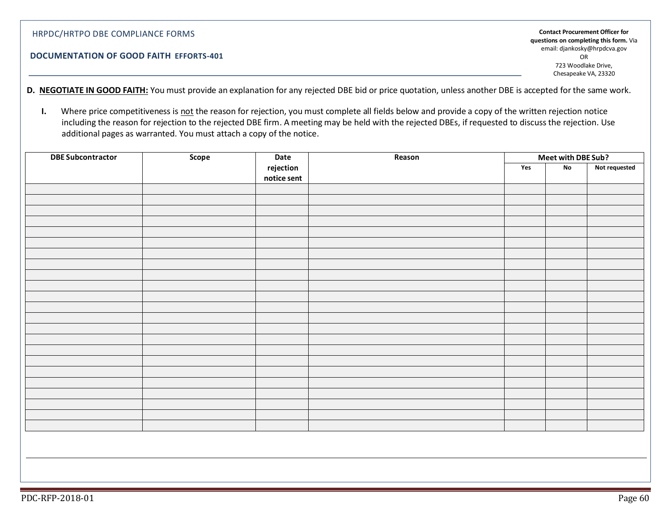#### **DOCUMENTATION OF GOOD FAITH EFFORTS-401**

**Contact Procurement Officer for questions on completing this form.** Via email: djankosky@hrpdcva.gov OR 723 Woodlake Drive, Chesapeake VA, 23320

**D. NEGOTIATE IN GOOD FAITH:** You must provide an explanation for any rejected DBE bid or price quotation, unless another DBE is accepted for the same work.

**I.** Where price competitiveness is not the reason for rejection, you must complete all fields below and provide a copy of the written rejection notice including the reason for rejection to the rejected DBE firm. A meeting may be held with the rejected DBEs, if requested to discuss the rejection. Use additional pages as warranted. You must attach a copy of the notice.

| <b>DBE Subcontractor</b> | Scope | Date<br>Reason           |  |     | Meet with DBE Sub? |               |
|--------------------------|-------|--------------------------|--|-----|--------------------|---------------|
|                          |       | rejection<br>notice sent |  | Yes | No                 | Not requested |
|                          |       |                          |  |     |                    |               |
|                          |       |                          |  |     |                    |               |
|                          |       |                          |  |     |                    |               |
|                          |       |                          |  |     |                    |               |
|                          |       |                          |  |     |                    |               |
|                          |       |                          |  |     |                    |               |
|                          |       |                          |  |     |                    |               |
|                          |       |                          |  |     |                    |               |
|                          |       |                          |  |     |                    |               |
|                          |       |                          |  |     |                    |               |
|                          |       |                          |  |     |                    |               |
|                          |       |                          |  |     |                    |               |
|                          |       |                          |  |     |                    |               |
|                          |       |                          |  |     |                    |               |
|                          |       |                          |  |     |                    |               |
|                          |       |                          |  |     |                    |               |
|                          |       |                          |  |     |                    |               |
|                          |       |                          |  |     |                    |               |
|                          |       |                          |  |     |                    |               |
|                          |       |                          |  |     |                    |               |
|                          |       |                          |  |     |                    |               |
|                          |       |                          |  |     |                    |               |
|                          |       |                          |  |     |                    |               |
|                          |       |                          |  |     |                    |               |
|                          |       |                          |  |     |                    |               |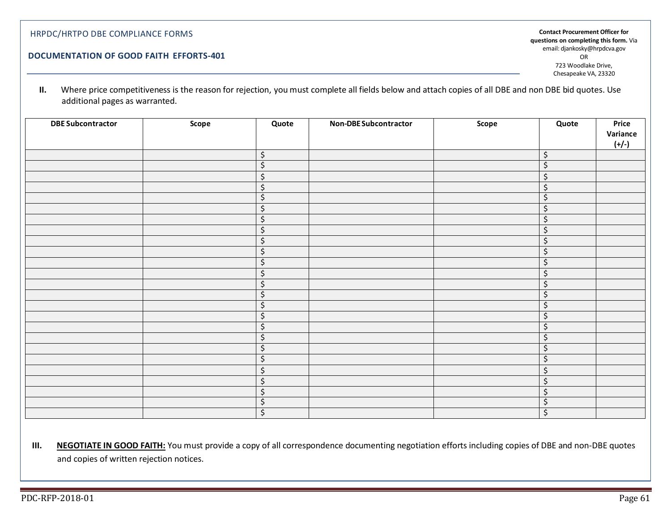#### **DOCUMENTATION OF GOOD FAITH EFFORTS-401**

**Contact Procurement Officer for questions on completing this form.** Via email: djankosky@hrpdcva.gov OR 723 Woodlake Drive, Chesapeake VA, 23320

**II.** Where price competitiveness is the reason for rejection, you must complete all fields below and attach copies of all DBE and non DBE bid quotes. Use additional pages as warranted.

| <b>DBE Subcontractor</b> | Scope | Quote                          | <b>Non-DBE Subcontractor</b> | Scope | Quote   | Price<br>Variance |
|--------------------------|-------|--------------------------------|------------------------------|-------|---------|-------------------|
|                          |       |                                |                              |       |         | $(+/-)$           |
|                          |       | $\varsigma$                    |                              |       | \$      |                   |
|                          |       | $\overline{\mathcal{S}}$       |                              |       | \$      |                   |
|                          |       | $\zeta$                        |                              |       | $\zeta$ |                   |
|                          |       | $\zeta$                        |                              |       | \$      |                   |
|                          |       | $\zeta$                        |                              |       | \$      |                   |
|                          |       | $\overline{\mathcal{L}}$       |                              |       | \$      |                   |
|                          |       | $\zeta$                        |                              |       | \$      |                   |
|                          |       | $\overline{\varsigma}$         |                              |       | $\zeta$ |                   |
|                          |       | $\zeta$                        |                              |       | Ś       |                   |
|                          |       | $\overline{\mathcal{S}}$       |                              |       | \$      |                   |
|                          |       | $\overline{\mathcal{S}}$       |                              |       | $\zeta$ |                   |
|                          |       | $\zeta$                        |                              |       | \$      |                   |
|                          |       | \$                             |                              |       | $\zeta$ |                   |
|                          |       | $\overline{\mathcal{S}}$       |                              |       | $\zeta$ |                   |
|                          |       | \$                             |                              |       | \$      |                   |
|                          |       | $\zeta$                        |                              |       | \$      |                   |
|                          |       | $\zeta$                        |                              |       | \$      |                   |
|                          |       | $\zeta$                        |                              |       | $\zeta$ |                   |
|                          |       | \$                             |                              |       | \$      |                   |
|                          |       | \$                             |                              |       | $\zeta$ |                   |
|                          |       | \$                             |                              |       | \$      |                   |
|                          |       | $\boldsymbol{\dot{\varsigma}}$ |                              |       | \$      |                   |
|                          |       | $\zeta$                        |                              |       | Ś       |                   |
|                          |       | $\varsigma$                    |                              |       | \$      |                   |
|                          |       | $\overline{\mathcal{S}}$       |                              |       | \$      |                   |

**III.** NEGOTIATE IN GOOD FAITH: You must provide a copy of all correspondence documenting negotiation efforts including copies of DBE and non-DBE quotes and copies of written rejection notices.